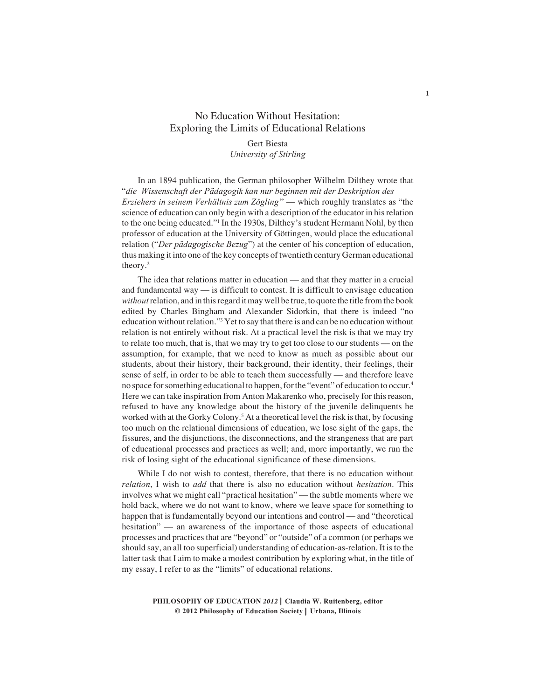# No Education Without Hesitation: Exploring the Limits of Educational Relations

# Gert Biesta *University of Stirling*

In an 1894 publication, the German philosopher Wilhelm Dilthey wrote that "*die Wissenschaft der Pädagogik kan nur beginnen mit der Deskription des Erziehers in seinem Verhältnis zum Zögling*" — which roughly translates as "the science of education can only begin with a description of the educator in his relation to the one being educated."1 In the 1930s, Dilthey's student Hermann Nohl, by then professor of education at the University of Göttingen, would place the educational relation ("*Der pädagogische Bezug*") at the center of his conception of education, thus making it into one of the key concepts of twentieth century German educational theory.2

The idea that relations matter in education — and that they matter in a crucial and fundamental way — is difficult to contest. It is difficult to envisage education *without* relation, and in this regard it may well be true, to quote the title from the book edited by Charles Bingham and Alexander Sidorkin, that there is indeed "no education without relation."3 Yet to say that there is and can be no education without relation is not entirely without risk. At a practical level the risk is that we may try to relate too much, that is, that we may try to get too close to our students — on the assumption, for example, that we need to know as much as possible about our students, about their history, their background, their identity, their feelings, their sense of self, in order to be able to teach them successfully — and therefore leave no space for something educational to happen, for the "event" of education to occur.4 Here we can take inspiration from Anton Makarenko who, precisely for this reason, refused to have any knowledge about the history of the juvenile delinquents he worked with at the Gorky Colony.<sup>5</sup> At a theoretical level the risk is that, by focusing too much on the relational dimensions of education, we lose sight of the gaps, the fissures, and the disjunctions, the disconnections, and the strangeness that are part of educational processes and practices as well; and, more importantly, we run the risk of losing sight of the educational significance of these dimensions.

While I do not wish to contest, therefore, that there is no education without *relation*, I wish to *add* that there is also no education without *hesitation*. This involves what we might call "practical hesitation" — the subtle moments where we hold back, where we do not want to know, where we leave space for something to happen that is fundamentally beyond our intentions and control — and "theoretical hesitation" — an awareness of the importance of those aspects of educational processes and practices that are "beyond" or "outside" of a common (or perhaps we should say, an all too superficial) understanding of education-as-relation. It is to the latter task that I aim to make a modest contribution by exploring what, in the title of my essay, I refer to as the "limits" of educational relations.

> **PHILOSOPHY OF EDUCATION 2012 | Claudia W. Ruitenberg, editor**  $© 2012 Philosophy of Education Society | Urbana, Illinois$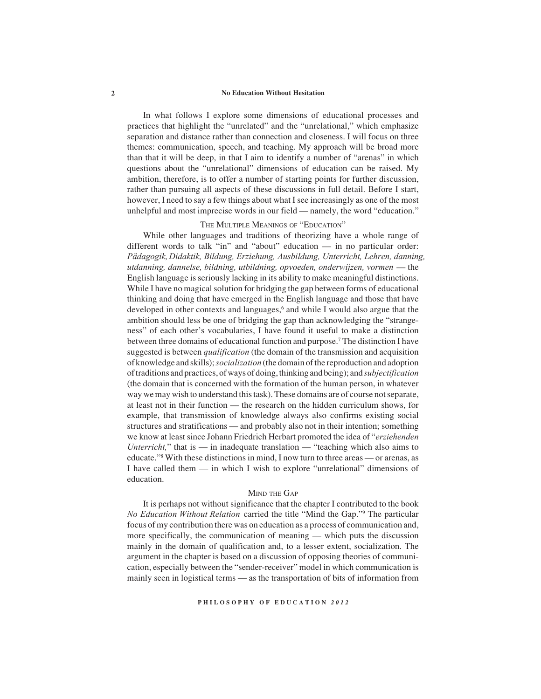In what follows I explore some dimensions of educational processes and practices that highlight the "unrelated" and the "unrelational," which emphasize separation and distance rather than connection and closeness. I will focus on three themes: communication, speech, and teaching. My approach will be broad more than that it will be deep, in that I aim to identify a number of "arenas" in which questions about the "unrelational" dimensions of education can be raised. My ambition, therefore, is to offer a number of starting points for further discussion, rather than pursuing all aspects of these discussions in full detail. Before I start, however, I need to say a few things about what I see increasingly as one of the most unhelpful and most imprecise words in our field — namely, the word "education."

### THE MULTIPLE MEANINGS OF "EDUCATION"

While other languages and traditions of theorizing have a whole range of different words to talk "in" and "about" education — in no particular order: *Pädagogik, Didaktik, Bildung, Erziehung, Ausbildung, Unterricht, Lehren, danning, utdanning, dannelse, bildning, utbildning, opvoeden, onderwijzen, vormen* — the English language is seriously lacking in its ability to make meaningful distinctions. While I have no magical solution for bridging the gap between forms of educational thinking and doing that have emerged in the English language and those that have developed in other contexts and languages,<sup>6</sup> and while I would also argue that the ambition should less be one of bridging the gap than acknowledging the "strangeness" of each other's vocabularies, I have found it useful to make a distinction between three domains of educational function and purpose.<sup>7</sup> The distinction I have suggested is between *qualification* (the domain of the transmission and acquisition of knowledge and skills); *socialization* (the domain of the reproduction and adoption of traditions and practices, of ways of doing, thinking and being); and *subjectification* (the domain that is concerned with the formation of the human person, in whatever way we may wish to understand this task). These domains are of course not separate, at least not in their function — the research on the hidden curriculum shows, for example, that transmission of knowledge always also confirms existing social structures and stratifications — and probably also not in their intention; something we know at least since Johann Friedrich Herbart promoted the idea of "*erziehenden Unterricht,*" that is — in inadequate translation — "teaching which also aims to educate."8 With these distinctions in mind, I now turn to three areas — or arenas, as I have called them — in which I wish to explore "unrelational" dimensions of education.

#### MIND THE GAP

It is perhaps not without significance that the chapter I contributed to the book *No Education Without Relation* carried the title "Mind the Gap."9 The particular focus of my contribution there was on education as a process of communication and, more specifically, the communication of meaning — which puts the discussion mainly in the domain of qualification and, to a lesser extent, socialization. The argument in the chapter is based on a discussion of opposing theories of communication, especially between the "sender-receiver" model in which communication is mainly seen in logistical terms — as the transportation of bits of information from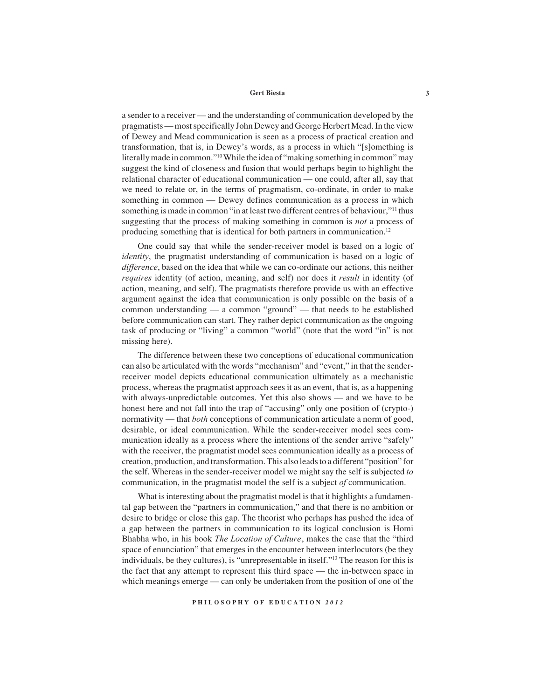a sender to a receiver — and the understanding of communication developed by the pragmatists — most specifically John Dewey and George Herbert Mead. In the view of Dewey and Mead communication is seen as a process of practical creation and transformation, that is, in Dewey's words, as a process in which "[s]omething is literally made in common."10 While the idea of "making something in common" may suggest the kind of closeness and fusion that would perhaps begin to highlight the relational character of educational communication — one could, after all, say that we need to relate or, in the terms of pragmatism, co-ordinate, in order to make something in common — Dewey defines communication as a process in which something is made in common "in at least two different centres of behaviour,"<sup>11</sup> thus suggesting that the process of making something in common is *not* a process of producing something that is identical for both partners in communication.<sup>12</sup>

One could say that while the sender-receiver model is based on a logic of *identity*, the pragmatist understanding of communication is based on a logic of *difference*, based on the idea that while we can co-ordinate our actions, this neither *requires* identity (of action, meaning, and self) nor does it *result* in identity (of action, meaning, and self). The pragmatists therefore provide us with an effective argument against the idea that communication is only possible on the basis of a common understanding — a common "ground" — that needs to be established before communication can start. They rather depict communication as the ongoing task of producing or "living" a common "world" (note that the word "in" is not missing here).

The difference between these two conceptions of educational communication can also be articulated with the words "mechanism" and "event," in that the senderreceiver model depicts educational communication ultimately as a mechanistic process, whereas the pragmatist approach sees it as an event, that is, as a happening with always-unpredictable outcomes. Yet this also shows — and we have to be honest here and not fall into the trap of "accusing" only one position of (crypto-) normativity — that *both* conceptions of communication articulate a norm of good, desirable, or ideal communication. While the sender-receiver model sees communication ideally as a process where the intentions of the sender arrive "safely" with the receiver, the pragmatist model sees communication ideally as a process of creation, production, and transformation. This also leads to a different "position" for the self. Whereas in the sender-receiver model we might say the self is subjected *to* communication, in the pragmatist model the self is a subject *of* communication.

What is interesting about the pragmatist model is that it highlights a fundamental gap between the "partners in communication," and that there is no ambition or desire to bridge or close this gap. The theorist who perhaps has pushed the idea of a gap between the partners in communication to its logical conclusion is Homi Bhabha who, in his book *The Location of Culture*, makes the case that the "third space of enunciation" that emerges in the encounter between interlocutors (be they individuals, be they cultures), is "unrepresentable in itself."13 The reason for this is the fact that any attempt to represent this third space — the in-between space in which meanings emerge — can only be undertaken from the position of one of the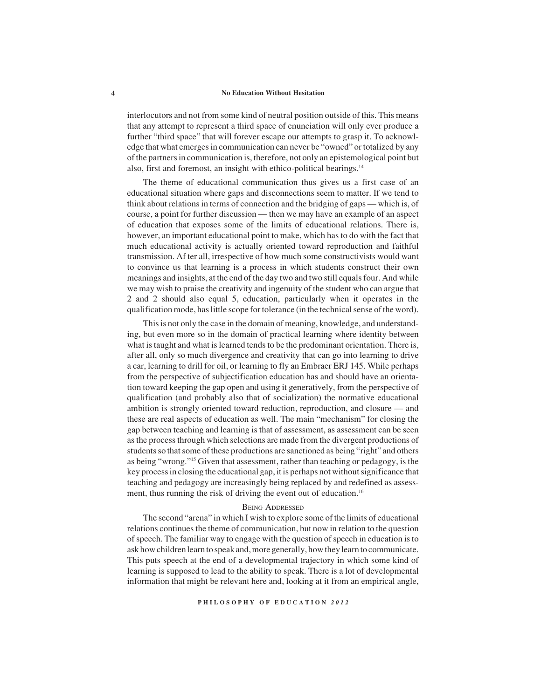interlocutors and not from some kind of neutral position outside of this. This means that any attempt to represent a third space of enunciation will only ever produce a further "third space" that will forever escape our attempts to grasp it. To acknowledge that what emerges in communication can never be "owned" or totalized by any of the partners in communication is, therefore, not only an epistemological point but also, first and foremost, an insight with ethico-political bearings.14

The theme of educational communication thus gives us a first case of an educational situation where gaps and disconnections seem to matter. If we tend to think about relations in terms of connection and the bridging of gaps — which is, of course, a point for further discussion — then we may have an example of an aspect of education that exposes some of the limits of educational relations. There is, however, an important educational point to make, which has to do with the fact that much educational activity is actually oriented toward reproduction and faithful transmission. Af ter all, irrespective of how much some constructivists would want to convince us that learning is a process in which students construct their own meanings and insights, at the end of the day two and two still equals four. And while we may wish to praise the creativity and ingenuity of the student who can argue that 2 and 2 should also equal 5, education, particularly when it operates in the qualification mode, has little scope for tolerance (in the technical sense of the word).

This is not only the case in the domain of meaning, knowledge, and understanding, but even more so in the domain of practical learning where identity between what is taught and what is learned tends to be the predominant orientation. There is, after all, only so much divergence and creativity that can go into learning to drive a car, learning to drill for oil, or learning to fly an Embraer ERJ 145. While perhaps from the perspective of subjectification education has and should have an orientation toward keeping the gap open and using it generatively, from the perspective of qualification (and probably also that of socialization) the normative educational ambition is strongly oriented toward reduction, reproduction, and closure — and these are real aspects of education as well. The main "mechanism" for closing the gap between teaching and learning is that of assessment, as assessment can be seen as the process through which selections are made from the divergent productions of students so that some of these productions are sanctioned as being "right" and others as being "wrong."15 Given that assessment, rather than teaching or pedagogy, is the key process in closing the educational gap, it is perhaps not without significance that teaching and pedagogy are increasingly being replaced by and redefined as assessment, thus running the risk of driving the event out of education.<sup>16</sup>

### BEING ADDRESSED

The second "arena" in which I wish to explore some of the limits of educational relations continues the theme of communication, but now in relation to the question of speech. The familiar way to engage with the question of speech in education is to ask how children learn to speak and, more generally, how they learn to communicate. This puts speech at the end of a developmental trajectory in which some kind of learning is supposed to lead to the ability to speak. There is a lot of developmental information that might be relevant here and, looking at it from an empirical angle,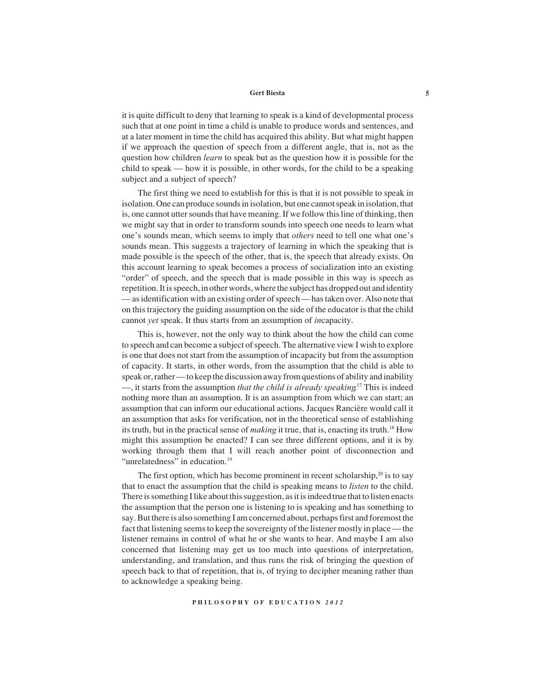it is quite difficult to deny that learning to speak is a kind of developmental process such that at one point in time a child is unable to produce words and sentences, and at a later moment in time the child has acquired this ability. But what might happen if we approach the question of speech from a different angle, that is, not as the question how children *learn* to speak but as the question how it is possible for the child to speak — how it is possible, in other words, for the child to be a speaking subject and a subject of speech?

The first thing we need to establish for this is that it is not possible to speak in isolation. One can produce sounds in isolation, but one cannot speak in isolation, that is, one cannot utter sounds that have meaning. If we follow this line of thinking, then we might say that in order to transform sounds into speech one needs to learn what one's sounds mean, which seems to imply that *others* need to tell one what one's sounds mean. This suggests a trajectory of learning in which the speaking that is made possible is the speech of the other, that is, the speech that already exists. On this account learning to speak becomes a process of socialization into an existing "order" of speech, and the speech that is made possible in this way is speech as repetition. It is speech, in other words, where the subject has dropped out and identity — as identification with an existing order of speech — has taken over. Also note that on this trajectory the guiding assumption on the side of the educator is that the child cannot *yet* speak. It thus starts from an assumption of *in*capacity.

This is, however, not the only way to think about the how the child can come to speech and can become a subject of speech. The alternative view I wish to explore is one that does not start from the assumption of incapacity but from the assumption of capacity. It starts, in other words, from the assumption that the child is able to speak or, rather — to keep the discussion away from questions of ability and inability —, it starts from the assumption *that the child is already speaking*. 17 This is indeed nothing more than an assumption. It is an assumption from which we can start; an assumption that can inform our educational actions. Jacques Rancière would call it an assumption that asks for verification, not in the theoretical sense of establishing its truth, but in the practical sense of *making* it true, that is, enacting its truth.18 How might this assumption be enacted? I can see three different options, and it is by working through them that I will reach another point of disconnection and "unrelatedness" in education.<sup>19</sup>

The first option, which has become prominent in recent scholarship, $20$  is to say that to enact the assumption that the child is speaking means to *listen* to the child. There is something I like about this suggestion, as it is indeed true that to listen enacts the assumption that the person one is listening to is speaking and has something to say. But there is also something I am concerned about, perhaps first and foremost the fact that listening seems to keep the sovereignty of the listener mostly in place — the listener remains in control of what he or she wants to hear. And maybe I am also concerned that listening may get us too much into questions of interpretation, understanding, and translation, and thus runs the risk of bringing the question of speech back to that of repetition, that is, of trying to decipher meaning rather than to acknowledge a speaking being.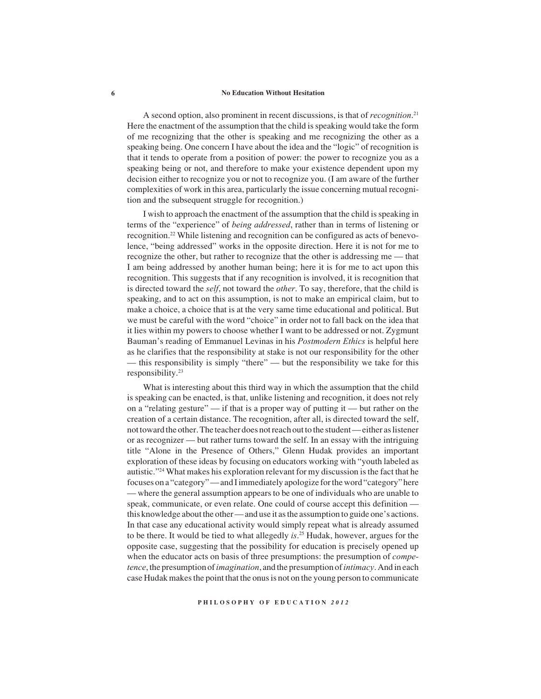A second option, also prominent in recent discussions, is that of *recognition*. 21 Here the enactment of the assumption that the child is speaking would take the form of me recognizing that the other is speaking and me recognizing the other as a speaking being. One concern I have about the idea and the "logic" of recognition is that it tends to operate from a position of power: the power to recognize you as a speaking being or not, and therefore to make your existence dependent upon my decision either to recognize you or not to recognize you. (I am aware of the further complexities of work in this area, particularly the issue concerning mutual recognition and the subsequent struggle for recognition.)

I wish to approach the enactment of the assumption that the child is speaking in terms of the "experience" of *being addressed*, rather than in terms of listening or recognition.22 While listening and recognition can be configured as acts of benevolence, "being addressed" works in the opposite direction. Here it is not for me to recognize the other, but rather to recognize that the other is addressing me — that I am being addressed by another human being; here it is for me to act upon this recognition. This suggests that if any recognition is involved, it is recognition that is directed toward the *self*, not toward the *other*. To say, therefore, that the child is speaking, and to act on this assumption, is not to make an empirical claim, but to make a choice, a choice that is at the very same time educational and political. But we must be careful with the word "choice" in order not to fall back on the idea that it lies within my powers to choose whether I want to be addressed or not. Zygmunt Bauman's reading of Emmanuel Levinas in his *Postmodern Ethics* is helpful here as he clarifies that the responsibility at stake is not our responsibility for the other — this responsibility is simply "there" — but the responsibility we take for this responsibility.23

What is interesting about this third way in which the assumption that the child is speaking can be enacted, is that, unlike listening and recognition, it does not rely on a "relating gesture" — if that is a proper way of putting it — but rather on the creation of a certain distance. The recognition, after all, is directed toward the self, not toward the other. The teacher does not reach out to the student — either as listener or as recognizer — but rather turns toward the self. In an essay with the intriguing title "Alone in the Presence of Others," Glenn Hudak provides an important exploration of these ideas by focusing on educators working with "youth labeled as autistic."24 What makes his exploration relevant for my discussion is the fact that he focuses on a "category" — and I immediately apologize for the word "category" here — where the general assumption appears to be one of individuals who are unable to speak, communicate, or even relate. One could of course accept this definition this knowledge about the other — and use it as the assumption to guide one's actions. In that case any educational activity would simply repeat what is already assumed to be there. It would be tied to what allegedly *is*. 25 Hudak, however, argues for the opposite case, suggesting that the possibility for education is precisely opened up when the educator acts on basis of three presumptions: the presumption of *competence*, the presumption of *imagination*, and the presumption of *intimacy*. And in each case Hudak makes the point that the onus is not on the young person to communicate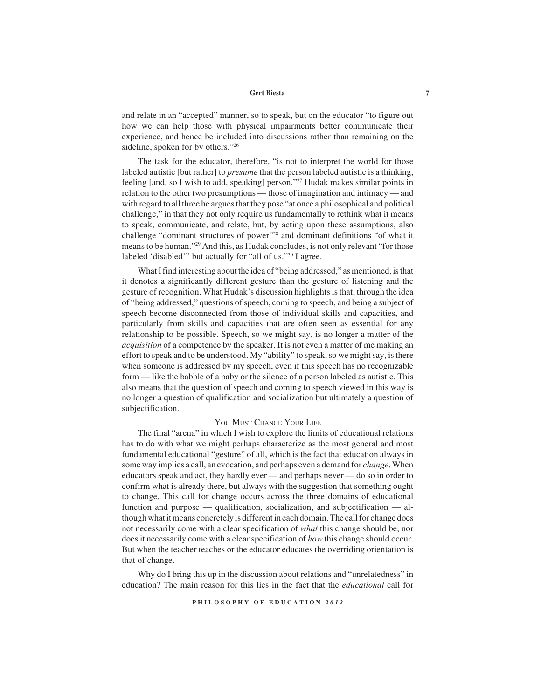and relate in an "accepted" manner, so to speak, but on the educator "to figure out how we can help those with physical impairments better communicate their experience, and hence be included into discussions rather than remaining on the sideline, spoken for by others."<sup>26</sup>

The task for the educator, therefore, "is not to interpret the world for those labeled autistic [but rather] to *presume* that the person labeled autistic is a thinking, feeling [and, so I wish to add, speaking] person."27 Hudak makes similar points in relation to the other two presumptions — those of imagination and intimacy — and with regard to all three he argues that they pose "at once a philosophical and political challenge," in that they not only require us fundamentally to rethink what it means to speak, communicate, and relate, but, by acting upon these assumptions, also challenge "dominant structures of power"28 and dominant definitions "of what it means to be human."29 And this, as Hudak concludes, is not only relevant "for those labeled 'disabled'" but actually for "all of us."30 I agree.

What I find interesting about the idea of "being addressed," as mentioned, is that it denotes a significantly different gesture than the gesture of listening and the gesture of recognition. What Hudak's discussion highlights is that, through the idea of "being addressed," questions of speech, coming to speech, and being a subject of speech become disconnected from those of individual skills and capacities, and particularly from skills and capacities that are often seen as essential for any relationship to be possible. Speech, so we might say, is no longer a matter of the *acquisition* of a competence by the speaker. It is not even a matter of me making an effort to speak and to be understood. My "ability" to speak, so we might say, is there when someone is addressed by my speech, even if this speech has no recognizable form — like the babble of a baby or the silence of a person labeled as autistic. This also means that the question of speech and coming to speech viewed in this way is no longer a question of qualification and socialization but ultimately a question of subjectification.

# YOU MUST CHANGE YOUR LIFE

The final "arena" in which I wish to explore the limits of educational relations has to do with what we might perhaps characterize as the most general and most fundamental educational "gesture" of all, which is the fact that education always in some way implies a call, an evocation, and perhaps even a demand for *change*. When educators speak and act, they hardly ever — and perhaps never — do so in order to confirm what is already there, but always with the suggestion that something ought to change. This call for change occurs across the three domains of educational function and purpose — qualification, socialization, and subjectification — although what it means concretely is different in each domain. The call for change does not necessarily come with a clear specification of *what* this change should be, nor does it necessarily come with a clear specification of *how* this change should occur. But when the teacher teaches or the educator educates the overriding orientation is that of change.

Why do I bring this up in the discussion about relations and "unrelatedness" in education? The main reason for this lies in the fact that the *educational* call for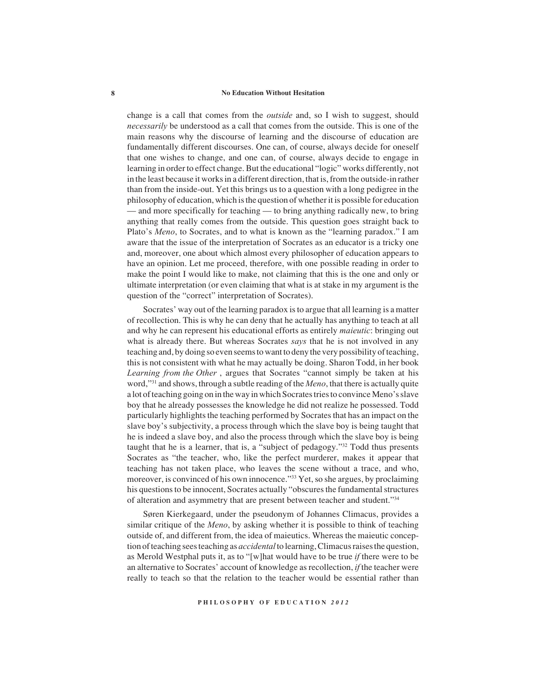change is a call that comes from the *outside* and, so I wish to suggest, should *necessarily* be understood as a call that comes from the outside. This is one of the main reasons why the discourse of learning and the discourse of education are fundamentally different discourses. One can, of course, always decide for oneself that one wishes to change, and one can, of course, always decide to engage in learning in order to effect change. But the educational "logic" works differently, not in the least because it works in a different direction, that is, from the outside-in rather than from the inside-out. Yet this brings us to a question with a long pedigree in the philosophy of education, which is the question of whether it is possible for education — and more specifically for teaching — to bring anything radically new, to bring anything that really comes from the outside. This question goes straight back to Plato's *Meno*, to Socrates, and to what is known as the "learning paradox." I am aware that the issue of the interpretation of Socrates as an educator is a tricky one and, moreover, one about which almost every philosopher of education appears to have an opinion. Let me proceed, therefore, with one possible reading in order to make the point I would like to make, not claiming that this is the one and only or ultimate interpretation (or even claiming that what is at stake in my argument is the question of the "correct" interpretation of Socrates).

Socrates' way out of the learning paradox is to argue that all learning is a matter of recollection. This is why he can deny that he actually has anything to teach at all and why he can represent his educational efforts as entirely *maieutic*: bringing out what is already there. But whereas Socrates *says* that he is not involved in any teaching and, by doing so even seems to want to deny the very possibility of teaching, this is not consistent with what he may actually be doing. Sharon Todd, in her book *Learning from the Other* , argues that Socrates "cannot simply be taken at his word,"31 and shows, through a subtle reading of the *Meno*, that there is actually quite a lot of teaching going on in the way in which Socrates tries to convince Meno's slave boy that he already possesses the knowledge he did not realize he possessed. Todd particularly highlights the teaching performed by Socrates that has an impact on the slave boy's subjectivity, a process through which the slave boy is being taught that he is indeed a slave boy, and also the process through which the slave boy is being taught that he is a learner, that is, a "subject of pedagogy."32 Todd thus presents Socrates as "the teacher, who, like the perfect murderer, makes it appear that teaching has not taken place, who leaves the scene without a trace, and who, moreover, is convinced of his own innocence."33 Yet, so she argues, by proclaiming his questions to be innocent, Socrates actually "obscures the fundamental structures of alteration and asymmetry that are present between teacher and student."34

Søren Kierkegaard, under the pseudonym of Johannes Climacus, provides a similar critique of the *Meno*, by asking whether it is possible to think of teaching outside of, and different from, the idea of maieutics. Whereas the maieutic conception of teaching sees teaching as *accidental* to learning, Climacus raises the question, as Merold Westphal puts it, as to "[w]hat would have to be true *if* there were to be an alternative to Socrates' account of knowledge as recollection, *if* the teacher were really to teach so that the relation to the teacher would be essential rather than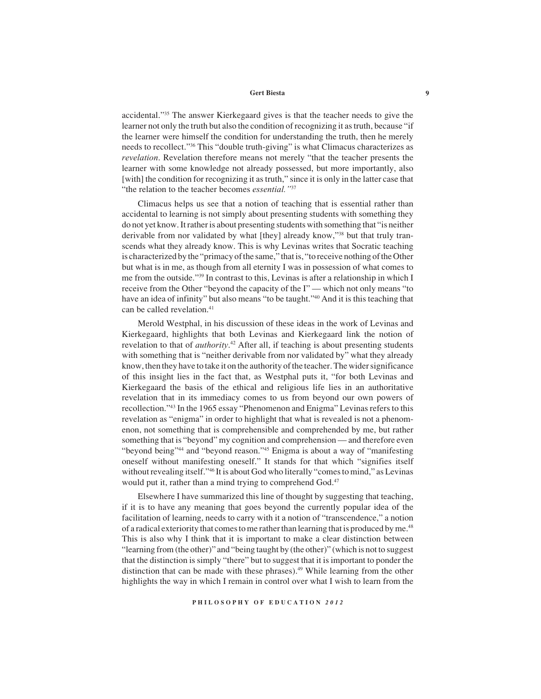accidental."35 The answer Kierkegaard gives is that the teacher needs to give the learner not only the truth but also the condition of recognizing it as truth, because "if the learner were himself the condition for understanding the truth, then he merely needs to recollect."36 This "double truth-giving" is what Climacus characterizes as *revelation*. Revelation therefore means not merely "that the teacher presents the learner with some knowledge not already possessed, but more importantly, also [with] the condition for recognizing it as truth," since it is only in the latter case that "the relation to the teacher becomes *essential."*<sup>37</sup>

Climacus helps us see that a notion of teaching that is essential rather than accidental to learning is not simply about presenting students with something they do not yet know. It rather is about presenting students with something that "is neither derivable from nor validated by what [they] already know,"38 but that truly transcends what they already know. This is why Levinas writes that Socratic teaching is characterized by the "primacy of the same," that is, "to receive nothing of the Other but what is in me, as though from all eternity I was in possession of what comes to me from the outside."39 In contrast to this, Levinas is after a relationship in which I receive from the Other "beyond the capacity of the I" — which not only means "to have an idea of infinity" but also means "to be taught."<sup>40</sup> And it is this teaching that can be called revelation.<sup>41</sup>

Merold Westphal, in his discussion of these ideas in the work of Levinas and Kierkegaard, highlights that both Levinas and Kierkegaard link the notion of revelation to that of *authority*. 42 After all, if teaching is about presenting students with something that is "neither derivable from nor validated by" what they already know, then they have to take it on the authority of the teacher. The wider significance of this insight lies in the fact that, as Westphal puts it, "for both Levinas and Kierkegaard the basis of the ethical and religious life lies in an authoritative revelation that in its immediacy comes to us from beyond our own powers of recollection."43 In the 1965 essay "Phenomenon and Enigma" Levinas refers to this revelation as "enigma" in order to highlight that what is revealed is not a phenomenon, not something that is comprehensible and comprehended by me, but rather something that is "beyond" my cognition and comprehension — and therefore even "beyond being"44 and "beyond reason."45 Enigma is about a way of "manifesting oneself without manifesting oneself." It stands for that which "signifies itself without revealing itself."46 It is about God who literally "comes to mind," as Levinas would put it, rather than a mind trying to comprehend God.<sup>47</sup>

Elsewhere I have summarized this line of thought by suggesting that teaching, if it is to have any meaning that goes beyond the currently popular idea of the facilitation of learning, needs to carry with it a notion of "transcendence," a notion of a radical exteriority that comes to me rather than learning that is produced by me.<sup>48</sup> This is also why I think that it is important to make a clear distinction between "learning from (the other)" and "being taught by (the other)" (which is not to suggest that the distinction is simply "there" but to suggest that it is important to ponder the distinction that can be made with these phrases).<sup>49</sup> While learning from the other highlights the way in which I remain in control over what I wish to learn from the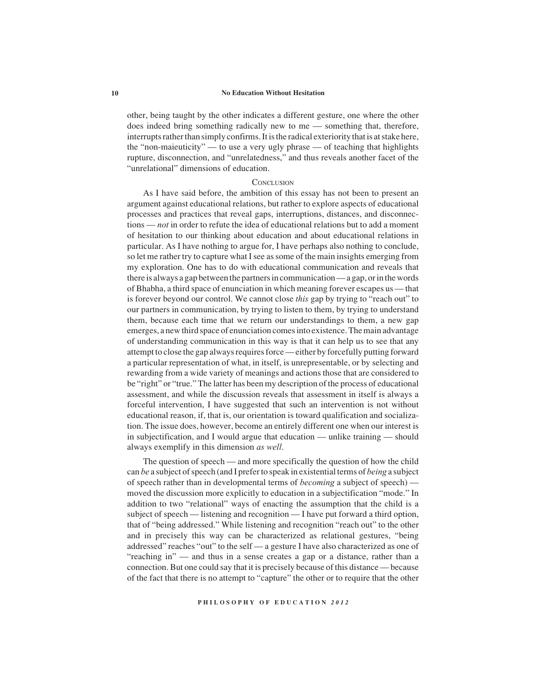other, being taught by the other indicates a different gesture, one where the other does indeed bring something radically new to me — something that, therefore, interrupts rather than simply confirms. It is the radical exteriority that is at stake here, the "non-maieuticity" — to use a very ugly phrase — of teaching that highlights rupture, disconnection, and "unrelatedness," and thus reveals another facet of the "unrelational" dimensions of education.

# **CONCLUSION**

As I have said before, the ambition of this essay has not been to present an argument against educational relations, but rather to explore aspects of educational processes and practices that reveal gaps, interruptions, distances, and disconnections — *not* in order to refute the idea of educational relations but to add a moment of hesitation to our thinking about education and about educational relations in particular. As I have nothing to argue for, I have perhaps also nothing to conclude, so let me rather try to capture what I see as some of the main insights emerging from my exploration. One has to do with educational communication and reveals that there is always a gap between the partners in communication — a gap, or in the words of Bhabha, a third space of enunciation in which meaning forever escapes us — that is forever beyond our control. We cannot close *this* gap by trying to "reach out" to our partners in communication, by trying to listen to them, by trying to understand them, because each time that we return our understandings to them, a new gap emerges, a new third space of enunciation comes into existence. The main advantage of understanding communication in this way is that it can help us to see that any attempt to close the gap always requires force — either by forcefully putting forward a particular representation of what, in itself, is unrepresentable, or by selecting and rewarding from a wide variety of meanings and actions those that are considered to be "right" or "true." The latter has been my description of the process of educational assessment, and while the discussion reveals that assessment in itself is always a forceful intervention, I have suggested that such an intervention is not without educational reason, if, that is, our orientation is toward qualification and socialization. The issue does, however, become an entirely different one when our interest is in subjectification, and I would argue that education — unlike training — should always exemplify in this dimension *as well*.

The question of speech — and more specifically the question of how the child can *be* a subject of speech (and I prefer to speak in existential terms of *being* a subject of speech rather than in developmental terms of *becoming* a subject of speech) moved the discussion more explicitly to education in a subjectification "mode." In addition to two "relational" ways of enacting the assumption that the child is a subject of speech — listening and recognition — I have put forward a third option, that of "being addressed." While listening and recognition "reach out" to the other and in precisely this way can be characterized as relational gestures, "being addressed" reaches "out" to the self — a gesture I have also characterized as one of "reaching in" — and thus in a sense creates a gap or a distance, rather than a connection. But one could say that it is precisely because of this distance — because of the fact that there is no attempt to "capture" the other or to require that the other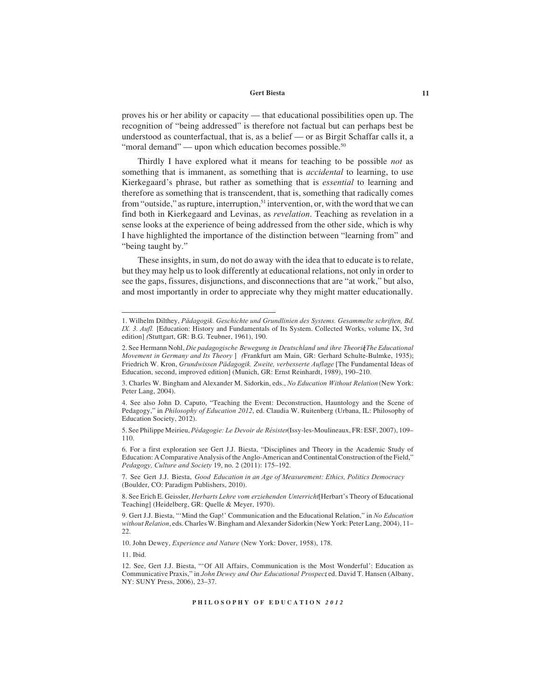proves his or her ability or capacity — that educational possibilities open up. The recognition of "being addressed" is therefore not factual but can perhaps best be understood as counterfactual, that is, as a belief — or as Birgit Schaffar calls it, a "moral demand" — upon which education becomes possible.<sup>50</sup>

Thirdly I have explored what it means for teaching to be possible *not* as something that is immanent, as something that is *accidental* to learning, to use Kierkegaard's phrase, but rather as something that is *essential* to learning and therefore as something that is transcendent, that is, something that radically comes from "outside," as rupture, interruption, <sup>51</sup> intervention, or, with the word that we can find both in Kierkegaard and Levinas, as *revelation*. Teaching as revelation in a sense looks at the experience of being addressed from the other side, which is why I have highlighted the importance of the distinction between "learning from" and "being taught by."

These insights, in sum, do not do away with the idea that to educate is to relate, but they may help us to look differently at educational relations, not only in order to see the gaps, fissures, disjunctions, and disconnections that are "at work," but also, and most importantly in order to appreciate why they might matter educationally.

11. Ibid.

<sup>1.</sup> Wilhelm Dilthey, *Pädagogik. Geschichte und Grundlinien des Systems. Gesammelte schriften, Bd.* IX. 3. Aufl. [Education: History and Fundamentals of Its System. Collected Works, volume IX, 3rd edition] *(*Stuttgart, GR: B.G. Teubner, 1961), 190.

<sup>2.</sup> See Hermann Nohl, *Die padagogische Bewegung in Deutschland und ihre Theori&The Educational Movement in Germany and Its Theory* ] *(*Frankfurt am Main, GR: Gerhard Schulte-Bulmke, 1935); Friedrich W. Kron, *Grundwissen Pädagogik. Zweite, verbesserte Auflage* [The Fundamental Ideas of Education, second, improved edition] (Munich, GR: Ernst Reinhardt, 1989), 190–210.

<sup>3.</sup> Charles W. Bingham and Alexander M. Sidorkin, eds., *No Education Without Relation* (New York: Peter Lang, 2004).

<sup>4.</sup> See also John D. Caputo, "Teaching the Event: Deconstruction, Hauntology and the Scene of Pedagogy," in *Philosophy of Education 2012*, ed. Claudia W. Ruitenberg (Urbana, IL: Philosophy of Education Society, 2012).

<sup>5.</sup> See Philippe Meirieu, *Pédagogie: Le Devoir de Résister* (Issy-les-Moulineaux, FR: ESF, 2007), 109– 110.

<sup>6.</sup> For a first exploration see Gert J.J. Biesta, "Disciplines and Theory in the Academic Study of Education: A Comparative Analysis of the Anglo-American and Continental Construction of the Field," *Pedagogy, Culture and Society* 19, no. 2 (2011): 175–192.

<sup>7.</sup> See Gert J.J. Biesta, *Good Education in an Age of Measurement: Ethics, Politics Democracy* (Boulder, CO: Paradigm Publishers, 2010).

<sup>8.</sup> See Erich E. Geissler, *Herbarts Lehre vom erziehenden Unterricht* [Herbart's Theory of Educational Teaching] (Heidelberg, GR: Quelle & Meyer, 1970).

<sup>9.</sup> Gert J.J. Biesta, "'Mind the Gap!' Communication and the Educational Relation," in *No Education without Relation*, eds. Charles W. Bingham and Alexander Sidorkin (New York: Peter Lang, 2004), 11– 22.

<sup>10.</sup> John Dewey, *Experience and Nature* (New York: Dover, 1958), 178.

<sup>12.</sup> See, Gert J.J. Biesta, "'Of All Affairs, Communication is the Most Wonderful': Education as Communicative Praxis," in *John Dewey and Our Educational Prospect*, ed. David T. Hansen (Albany, NY: SUNY Press, 2006), 23–37.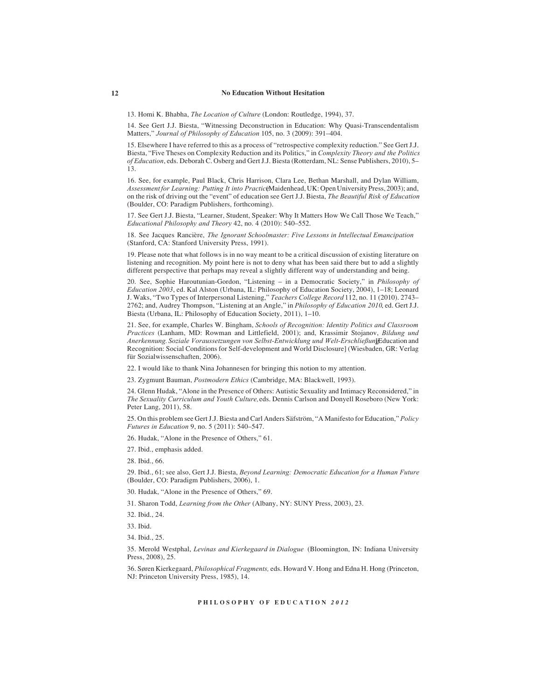13. Homi K. Bhabha, *The Location of Culture* (London: Routledge, 1994), 37.

14. See Gert J.J. Biesta, "Witnessing Deconstruction in Education: Why Quasi-Transcendentalism Matters," *Journal of Philosophy of Education* 105, no. 3 (2009): 391–404.

15. Elsewhere I have referred to this as a process of "retrospective complexity reduction." See Gert J.J. Biesta, "Five Theses on Complexity Reduction and its Politics," in *Complexity Theory and the Politics of Education*, eds. Deborah C. Osberg and Gert J.J. Biesta (Rotterdam, NL: Sense Publishers, 2010), 5– 13.

16. See, for example, Paul Black, Chris Harrison, Clara Lee, Bethan Marshall, and Dylan William, *Assessment for Learning: Putting It into Practice* (Maidenhead, UK: Open University Press, 2003); and, on the risk of driving out the "event" of education see Gert J.J. Biesta, *The Beautiful Risk of Education* (Boulder, CO: Paradigm Publishers, forthcoming).

17. See Gert J.J. Biesta, "Learner, Student, Speaker: Why It Matters How We Call Those We Teach," *Educational Philosophy and Theory* 42, no. 4 (2010): 540–552.

18. See Jacques Rancière, *The Ignorant Schoolmaster: Five Lessons in Intellectual Emancipation* (Stanford, CA: Stanford University Press, 1991).

19. Please note that what follows is in no way meant to be a critical discussion of existing literature on listening and recognition. My point here is not to deny what has been said there but to add a slightly different perspective that perhaps may reveal a slightly different way of understanding and being.

20. See, Sophie Haroutunian-Gordon, "Listening – in a Democratic Society," in *Philosophy of Education 2003*, ed. Kal Alston (Urbana, IL: Philosophy of Education Society, 2004), 1–18; Leonard J. Waks, "Two Types of Interpersonal Listening," *Teachers College Record* 112, no. 11 (2010). 2743– 2762; and, Audrey Thompson, "Listening at an Angle," in *Philosophy of Education 2010*, ed. Gert J.J. Biesta (Urbana, IL: Philosophy of Education Society, 2011), 1–10.

21. See, for example, Charles W. Bingham, *Schools of Recognition: Identity Politics and Classroom Practices* (Lanham, MD: Rowman and Littlefield, 2001); and, Krassimir Stojanov, *Bildung und Anerkennung. Soziale Voraussetzungen von Selbst-Entwicklung und Welt-Erschließung* [Education and Recognition: Social Conditions for Self-development and World Disclosure] (Wiesbaden, GR: Verlag für Sozialwissenschaften, 2006).

22. I would like to thank Nina Johannesen for bringing this notion to my attention.

23. Zygmunt Bauman, *Postmodern Ethics* (Cambridge, MA: Blackwell, 1993).

24. Glenn Hudak, "Alone in the Presence of Others: Autistic Sexuality and Intimacy Reconsidered," in *The Sexuality Curriculum and Youth Culture,* eds. Dennis Carlson and Donyell Roseboro (New York: Peter Lang, 2011), 58.

25. On this problem see Gert J.J. Biesta and Carl Anders Säfström, "A Manifesto for Education," *Policy Futures in Education* 9, no. 5 (2011): 540–547.

26. Hudak, "Alone in the Presence of Others," 61.

27. Ibid., emphasis added.

28. Ibid., 66.

29. Ibid., 61; see also, Gert J.J. Biesta, *Beyond Learning: Democratic Education for a Human Future* (Boulder, CO: Paradigm Publishers, 2006), 1.

30. Hudak, "Alone in the Presence of Others," 69.

31. Sharon Todd, *Learning from the Other* (Albany, NY: SUNY Press, 2003), 23.

32. Ibid., 24.

33. Ibid.

34. Ibid., 25.

35. Merold Westphal, *Levinas and Kierkegaard in Dialogue* (Bloomington, IN: Indiana University Press, 2008), 25.

36. Søren Kierkegaard, *Philosophical Fragments,* eds. Howard V. Hong and Edna H. Hong (Princeton, NJ: Princeton University Press, 1985), 14.